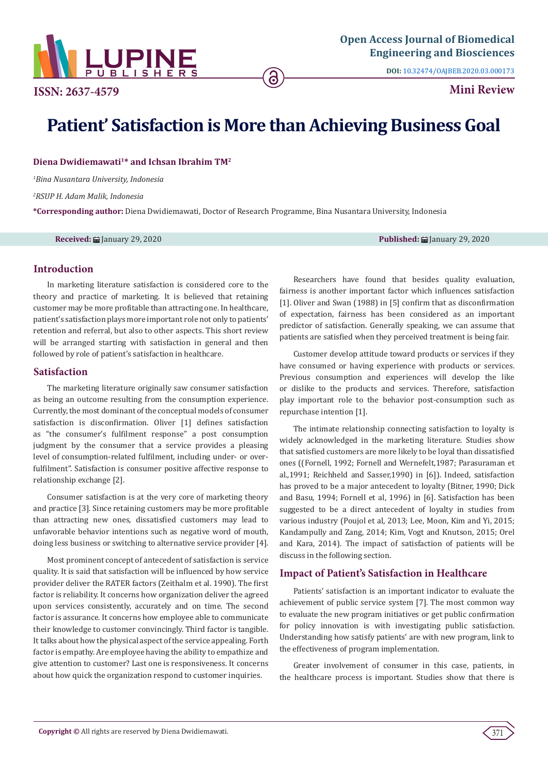

**DOI:** [10.32474/OAJBEB.2020.03.000173](http://dx.doi.org/10.32474/OAJBEB.2020.03.000173)

**ISSN: 2637-4579 Mini Review** 

# **Patient' Satisfaction is More than Achieving Business Goal**

Diena Dwidiemawati<sup>1\*</sup> and Ichsan Ibrahim TM<sup>2</sup>

*1 Bina Nusantara University, Indonesia*

*2 RSUP H. Adam Malik, Indonesia*

**\*Corresponding author:** Diena Dwidiemawati, Doctor of Research Programme, Bina Nusantara University, Indonesia

**Received:** January 29, 2020 **Published:** January 29, 2020

## **Introduction**

In marketing literature satisfaction is considered core to the theory and practice of marketing. It is believed that retaining customer may be more profitable than attracting one. In healthcare, patient's satisfaction plays more important role not only to patients' retention and referral, but also to other aspects. This short review will be arranged starting with satisfaction in general and then followed by role of patient's satisfaction in healthcare.

## **Satisfaction**

The marketing literature originally saw consumer satisfaction as being an outcome resulting from the consumption experience. Currently, the most dominant of the conceptual models of consumer satisfaction is disconfirmation. Oliver [1] defines satisfaction as "the consumer's fulfilment response" a post consumption judgment by the consumer that a service provides a pleasing level of consumption-related fulfilment, including under- or overfulfilment". Satisfaction is consumer positive affective response to relationship exchange [2].

Consumer satisfaction is at the very core of marketing theory and practice [3]. Since retaining customers may be more profitable than attracting new ones, dissatisfied customers may lead to unfavorable behavior intentions such as negative word of mouth, doing less business or switching to alternative service provider [4].

Most prominent concept of antecedent of satisfaction is service quality. It is said that satisfaction will be influenced by how service provider deliver the RATER factors (Zeithalm et al. 1990). The first factor is reliability. It concerns how organization deliver the agreed upon services consistently, accurately and on time. The second factor is assurance. It concerns how employee able to communicate their knowledge to customer convincingly. Third factor is tangible. It talks about how the physical aspect of the service appealing. Forth factor is empathy. Are employee having the ability to empathize and give attention to customer? Last one is responsiveness. It concerns about how quick the organization respond to customer inquiries.

Researchers have found that besides quality evaluation, fairness is another important factor which influences satisfaction [1]. Oliver and Swan (1988) in [5] confirm that as disconfirmation of expectation, fairness has been considered as an important predictor of satisfaction. Generally speaking, we can assume that patients are satisfied when they perceived treatment is being fair.

Customer develop attitude toward products or services if they have consumed or having experience with products or services. Previous consumption and experiences will develop the like or dislike to the products and services. Therefore, satisfaction play important role to the behavior post-consumption such as repurchase intention [1].

The intimate relationship connecting satisfaction to loyalty is widely acknowledged in the marketing literature. Studies show that satisfied customers are more likely to be loyal than dissatisfied ones ((Fornell, 1992; Fornell and Wernefelt,1987; Parasuraman et al.,1991; Reichheld and Sasser,1990) in [6]). Indeed, satisfaction has proved to be a major antecedent to loyalty (Bitner, 1990; Dick and Basu, 1994; Fornell et al, 1996) in [6]. Satisfaction has been suggested to be a direct antecedent of loyalty in studies from various industry (Poujol et al, 2013; Lee, Moon, Kim and Yi, 2015; Kandampully and Zang, 2014; Kim, Vogt and Knutson, 2015; Orel and Kara, 2014). The impact of satisfaction of patients will be discuss in the following section.

## **Impact of Patient's Satisfaction in Healthcare**

Patients' satisfaction is an important indicator to evaluate the achievement of public service system [7]. The most common way to evaluate the new program initiatives or get public confirmation for policy innovation is with investigating public satisfaction. Understanding how satisfy patients' are with new program, link to the effectiveness of program implementation.

Greater involvement of consumer in this case, patients, in the healthcare process is important. Studies show that there is